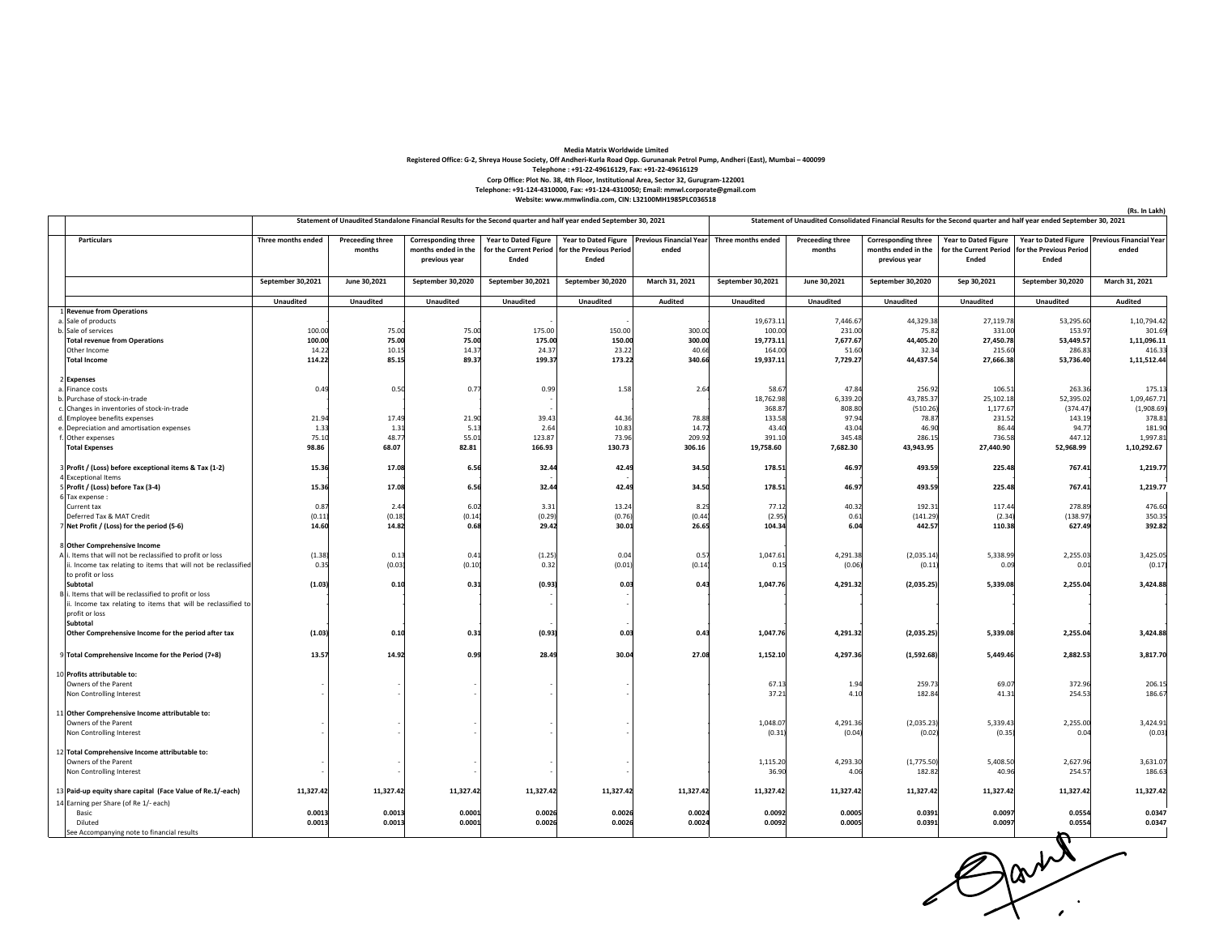## **Media Matrix Worldwide Limited**

.<br>Registered Office: G-2, Shreya House Society, Off Andheri-Kurla Road Opp. Gurunanak Petrol Pump, Andheri (East), Mumbai – 400099

**Telephone : +91‐22‐49616129, Fax: +91‐22‐49616129**

**Corp Office: Plot No. 38, 4th Floor, Institutional Area, Sector 32, Gurugram‐122001**

Telephone: +91-124-4310000, Fax: +91-124-4310050; Email: mmwl.corporate@gmail.com<br>Website: www.mmwlindia.com, CIN: L32100MH1985PLC036518

|                                                                                     | Statement of Unaudited Standalone Financial Results for the Second quarter and half year ended September 30, 2021 |                                   |                                                                    |                                      |                                                         |                                                       | Statement of Unaudited Consolidated Financial Results for the Second quarter and half year ended September 30, 2021 |                                   |                                                                    |                                                                |                                                                        |                                         |
|-------------------------------------------------------------------------------------|-------------------------------------------------------------------------------------------------------------------|-----------------------------------|--------------------------------------------------------------------|--------------------------------------|---------------------------------------------------------|-------------------------------------------------------|---------------------------------------------------------------------------------------------------------------------|-----------------------------------|--------------------------------------------------------------------|----------------------------------------------------------------|------------------------------------------------------------------------|-----------------------------------------|
| Particulars                                                                         | Three months ended                                                                                                | <b>Preceeding three</b><br>months | <b>Corresponding three</b><br>months ended in the<br>previous year | <b>Year to Dated Figure</b><br>Ended | for the Current Period for the Previous Period<br>Ended | Year to Dated Figure Previous Financial Year<br>ended | Three months ended                                                                                                  | <b>Preceeding three</b><br>months | <b>Corresponding three</b><br>months ended in the<br>previous year | <b>Year to Dated Figure</b><br>for the Current Period<br>Ended | <b>Year to Dated Figure</b><br>for the Previous Period<br><b>Ended</b> | <b>Previous Financial Year</b><br>ended |
|                                                                                     | September 30,2021                                                                                                 | June 30,2021                      | September 30,2020                                                  | September 30,2021                    | September 30,2020                                       | March 31, 2021                                        | September 30,2021                                                                                                   | June 30,2021                      | September 30,2020                                                  | Sep 30,2021                                                    | September 30,2020                                                      | March 31, 2021                          |
|                                                                                     | Unaudited                                                                                                         | <b>Unaudited</b>                  | Unaudited                                                          | Unaudited                            | Unaudited                                               | Audited                                               | <b>Unaudited</b>                                                                                                    | Unaudited                         | Unaudited                                                          | Unaudited                                                      | Unaudited                                                              | <b>Audited</b>                          |
| 1 Revenue from Operations                                                           |                                                                                                                   |                                   |                                                                    |                                      |                                                         |                                                       | 19,673.1                                                                                                            | 7,446.67                          | 44,329.38                                                          | 27,119.78                                                      | 53,295.60                                                              | 1,10,794.42                             |
| a. Sale of products<br>b. Sale of services                                          | 100.00                                                                                                            | 75.00                             | 75.00                                                              | 175.00                               | 150.00                                                  | 300.0                                                 | 100.00                                                                                                              | 231.00                            | 75.82                                                              | 331.00                                                         | 153.97                                                                 | 301.69                                  |
| <b>Total revenue from Operations</b>                                                | 100.00                                                                                                            | 75.00                             | 75.00                                                              | 175.00                               | 150.00                                                  | 300.0                                                 | 19,773.11                                                                                                           | 7,677.67                          | 44,405.20                                                          | 27,450.78                                                      | 53.449.57                                                              | 1,11,096.11                             |
| Other Income                                                                        | 14.22                                                                                                             | 10.15                             | 14.37                                                              | 24.37                                | 23.22                                                   | 40.6                                                  | 164.00                                                                                                              | 51.60                             | 32.34                                                              | 215.60                                                         | 286.83                                                                 | 416.33                                  |
| <b>Total Income</b>                                                                 | 114.22                                                                                                            | 85.15                             | 89.37                                                              | 199.37                               | 173.22                                                  | 340.6                                                 | 19,937.11                                                                                                           | 7,729.27                          | 44,437.54                                                          | 27,666.38                                                      | 53,736.40                                                              | 1,11,512.44                             |
| 2 Expenses                                                                          |                                                                                                                   |                                   |                                                                    |                                      |                                                         |                                                       |                                                                                                                     |                                   |                                                                    |                                                                |                                                                        |                                         |
| a. Finance costs                                                                    | 0.49                                                                                                              | 0.5C                              | 0.77                                                               | 0.99                                 | 1.58                                                    | 2.64                                                  | 58.6                                                                                                                | 47.84                             | 256.92                                                             | 106.5                                                          | 263.36                                                                 | 175.13                                  |
| b. Purchase of stock-in-trade                                                       |                                                                                                                   |                                   |                                                                    |                                      |                                                         |                                                       | 18,762.98                                                                                                           | 6,339.20                          | 43,785.37                                                          | 25,102.18                                                      | 52,395.02                                                              | 1,09,467.71                             |
| c. Changes in inventories of stock-in-trade                                         |                                                                                                                   |                                   |                                                                    |                                      |                                                         |                                                       | 368.87                                                                                                              | 808.80                            | (510.26)                                                           | 1,177.67                                                       | (374.47)                                                               | (1,908.69)                              |
| d. Employee benefits expenses                                                       | 21.94                                                                                                             | 17.49                             | 21.90                                                              | 39.43                                | 44.36                                                   | 78.8                                                  | 133.5                                                                                                               | 97.94                             | 78.87                                                              | 231.52                                                         | 143.19                                                                 | 378.81                                  |
| e. Depreciation and amortisation expenses                                           | 1.33                                                                                                              | 1.31                              | 5.13                                                               | 2.64                                 | 10.83                                                   | 14.7                                                  | 43.40                                                                                                               | 43.04                             | 46.90                                                              | 86.4                                                           | 94.7                                                                   | 181.90                                  |
| f. Other expenses                                                                   | 75.10                                                                                                             | 48.77                             | 55.01                                                              | 123.87                               | 73.96                                                   | 209.9                                                 | 391.1                                                                                                               | 345.48                            | 286.15                                                             | 736.58                                                         | 447.12                                                                 | 1,997.81                                |
| <b>Total Expenses</b>                                                               | 98.86                                                                                                             | 68.07                             | 82.81                                                              | 166.93                               | 130.73                                                  | 306.16                                                | 19,758.60                                                                                                           | 7,682.30                          | 43,943.95                                                          | 27,440.90                                                      | 52,968.99                                                              | 1,10,292.67                             |
| 3 Profit / (Loss) before exceptional items & Tax (1-2)<br>4 Exceptional Items       | 15.36                                                                                                             | 17.08                             | 6.56                                                               | 32.44                                | 42.49                                                   | 34.50                                                 | 178.51                                                                                                              | 46.97                             | 493.59                                                             | 225.48                                                         | 767.41                                                                 | 1,219.77                                |
| 5 Profit / (Loss) before Tax (3-4)                                                  | 15.36                                                                                                             | 17.08                             | 6.56                                                               | 32.44                                | 42.49                                                   | 34.50                                                 | 178.51                                                                                                              | 46.97                             | 493.59                                                             | 225.48                                                         | 767.41                                                                 | 1,219.77                                |
| 6Tax expense:                                                                       |                                                                                                                   |                                   |                                                                    |                                      |                                                         |                                                       |                                                                                                                     |                                   |                                                                    |                                                                |                                                                        |                                         |
| Current tax                                                                         | 0.87                                                                                                              | 2.44                              | 6.02                                                               | 3.31                                 | 13.24                                                   | 8.2                                                   | 77.12                                                                                                               | 40.32                             | 192.31                                                             | 117.44                                                         | 278.89                                                                 | 476.60                                  |
| Deferred Tax & MAT Credit                                                           | (0.11)                                                                                                            | (0.18)                            | (0.14)                                                             | (0.29)                               | (0.76)                                                  | (0.44)                                                | (2.95)                                                                                                              | 0.61                              | (141.29)                                                           | (2.34)                                                         | (138.97)                                                               | 350.35                                  |
| 7 Net Profit / (Loss) for the period (5-6)                                          | 14.60                                                                                                             | 14.82                             | 0.68                                                               | 29.42                                | 30.01                                                   | 26.6                                                  | 104.34                                                                                                              | 6.04                              | 442.57                                                             | 110.38                                                         | 627.49                                                                 | 392.82                                  |
| 8 Other Comprehensive Income                                                        |                                                                                                                   |                                   |                                                                    |                                      |                                                         |                                                       |                                                                                                                     |                                   |                                                                    |                                                                |                                                                        |                                         |
| A i. Items that will not be reclassified to profit or loss                          | (1.38)                                                                                                            | 0.13                              | 0.41                                                               | (1.25)                               | 0.04                                                    | 0.5                                                   | 1,047.6                                                                                                             | 4,291.38                          | (2,035.14)                                                         | 5,338.99                                                       | 2,255.03                                                               | 3,425.05                                |
| ii. Income tax relating to items that will not be reclassified<br>to profit or loss | 0.35                                                                                                              | (0.03)                            | (0.10)                                                             | 0.32                                 | (0.01)                                                  | (0.14)                                                | 0.15                                                                                                                | (0.06)                            | (0.11)                                                             | 0.09                                                           | 0.01                                                                   | (0.17)                                  |
| Subtotal                                                                            | (1.03)                                                                                                            | 0.10                              | 0.31                                                               | (0.93)                               | 0.03                                                    | 0.4                                                   | 1,047.76                                                                                                            | 4,291.32                          | (2,035.25)                                                         | 5,339.08                                                       | 2,255.04                                                               | 3,424.88                                |
| B i. Items that will be reclassified to profit or loss                              |                                                                                                                   |                                   |                                                                    |                                      |                                                         |                                                       |                                                                                                                     |                                   |                                                                    |                                                                |                                                                        |                                         |
| Income tax relating to items that will be reclassified to                           |                                                                                                                   |                                   |                                                                    |                                      |                                                         |                                                       |                                                                                                                     |                                   |                                                                    |                                                                |                                                                        |                                         |
| profit or loss                                                                      |                                                                                                                   |                                   |                                                                    |                                      |                                                         |                                                       |                                                                                                                     |                                   |                                                                    |                                                                |                                                                        |                                         |
| Subtotal<br>Other Comprehensive Income for the period after tax                     | (1.03)                                                                                                            | 0.10                              | 0.31                                                               | (0.93)                               | 0.03                                                    | 0.43                                                  | 1,047.76                                                                                                            | 4,291.32                          | (2,035.25)                                                         | 5,339.08                                                       | 2,255.04                                                               | 3,424.88                                |
|                                                                                     |                                                                                                                   |                                   |                                                                    |                                      |                                                         |                                                       |                                                                                                                     |                                   |                                                                    |                                                                |                                                                        |                                         |
| 9 Total Comprehensive Income for the Period (7+8)                                   | 13.57                                                                                                             | 14.92                             | 0.99                                                               | 28.49                                | 30.04                                                   | 27.0                                                  | 1,152.10                                                                                                            | 4,297.36                          | (1,592.68)                                                         | 5,449.46                                                       | 2,882.53                                                               | 3,817.70                                |
| 10 Profits attributable to:                                                         |                                                                                                                   |                                   |                                                                    |                                      |                                                         |                                                       |                                                                                                                     |                                   |                                                                    |                                                                |                                                                        |                                         |
| Owners of the Parent                                                                |                                                                                                                   |                                   |                                                                    |                                      |                                                         |                                                       | 67.13                                                                                                               | $1.9 -$                           | 259.73                                                             | 69.0                                                           | 372.96                                                                 | 206.15                                  |
| Non Controlling Interest                                                            |                                                                                                                   |                                   |                                                                    |                                      |                                                         |                                                       | 37.21                                                                                                               | 4.10                              | 182.84                                                             | 41.31                                                          | 254.53                                                                 | 186.67                                  |
| 11 Other Comprehensive Income attributable to:                                      |                                                                                                                   |                                   |                                                                    |                                      |                                                         |                                                       |                                                                                                                     |                                   |                                                                    |                                                                |                                                                        |                                         |
| Owners of the Parent                                                                |                                                                                                                   |                                   |                                                                    |                                      |                                                         |                                                       | 1,048.07                                                                                                            | 4,291.36                          | (2,035.23)                                                         | 5,339.43                                                       | 2,255.00                                                               | 3,424.91                                |
| Non Controlling Interest                                                            |                                                                                                                   |                                   |                                                                    |                                      |                                                         |                                                       | (0.31)                                                                                                              | (0.04)                            | (0.02)                                                             | (0.35)                                                         | 0.04                                                                   | (0.03)                                  |
| 12 Total Comprehensive Income attributable to:                                      |                                                                                                                   |                                   |                                                                    |                                      |                                                         |                                                       |                                                                                                                     |                                   |                                                                    |                                                                |                                                                        |                                         |
| Owners of the Parent                                                                |                                                                                                                   |                                   |                                                                    |                                      |                                                         |                                                       | 1,115.20                                                                                                            | 4,293.30                          | (1,775.50)                                                         | 5,408.50                                                       | 2,627.96                                                               | 3,631.07                                |
| Non Controlling Interest                                                            |                                                                                                                   |                                   |                                                                    |                                      |                                                         |                                                       | 36.90                                                                                                               | 4.0                               | 182.82                                                             | 40.96                                                          | 254.57                                                                 | 186.63                                  |
| 13 Paid-up equity share capital (Face Value of Re.1/-each)                          | 11,327.42                                                                                                         | 11,327.42                         | 11,327.42                                                          | 11,327.42                            | 11,327.42                                               | 11,327.4                                              | 11,327.42                                                                                                           | 11,327.42                         | 11,327.42                                                          | 11,327.42                                                      | 11,327.42                                                              | 11,327.42                               |
| 14 Earning per Share (of Re 1/- each)                                               |                                                                                                                   |                                   |                                                                    |                                      |                                                         |                                                       |                                                                                                                     |                                   |                                                                    |                                                                |                                                                        |                                         |
| Basic                                                                               | 0.0013                                                                                                            | 0.0013                            | 0.0001                                                             | 0.0026                               | 0.0026                                                  | 0.002                                                 | 0.0092                                                                                                              | 0.0005                            | 0.0391                                                             | 0.0097                                                         | 0.0554                                                                 | 0.0347                                  |
| Diluted                                                                             | 0.0013                                                                                                            | 0.0013                            | 0.0001                                                             | 0.0026                               | 0.0026                                                  | 0.0024                                                | 0.0092                                                                                                              | 0.0005                            | 0.0391                                                             | 0.0097                                                         | 0.0554                                                                 | 0.0347                                  |
| See Accompanying note to financial results                                          |                                                                                                                   |                                   |                                                                    |                                      |                                                         |                                                       |                                                                                                                     |                                   |                                                                    |                                                                |                                                                        |                                         |

Gard

**(Rs. In Lakh)**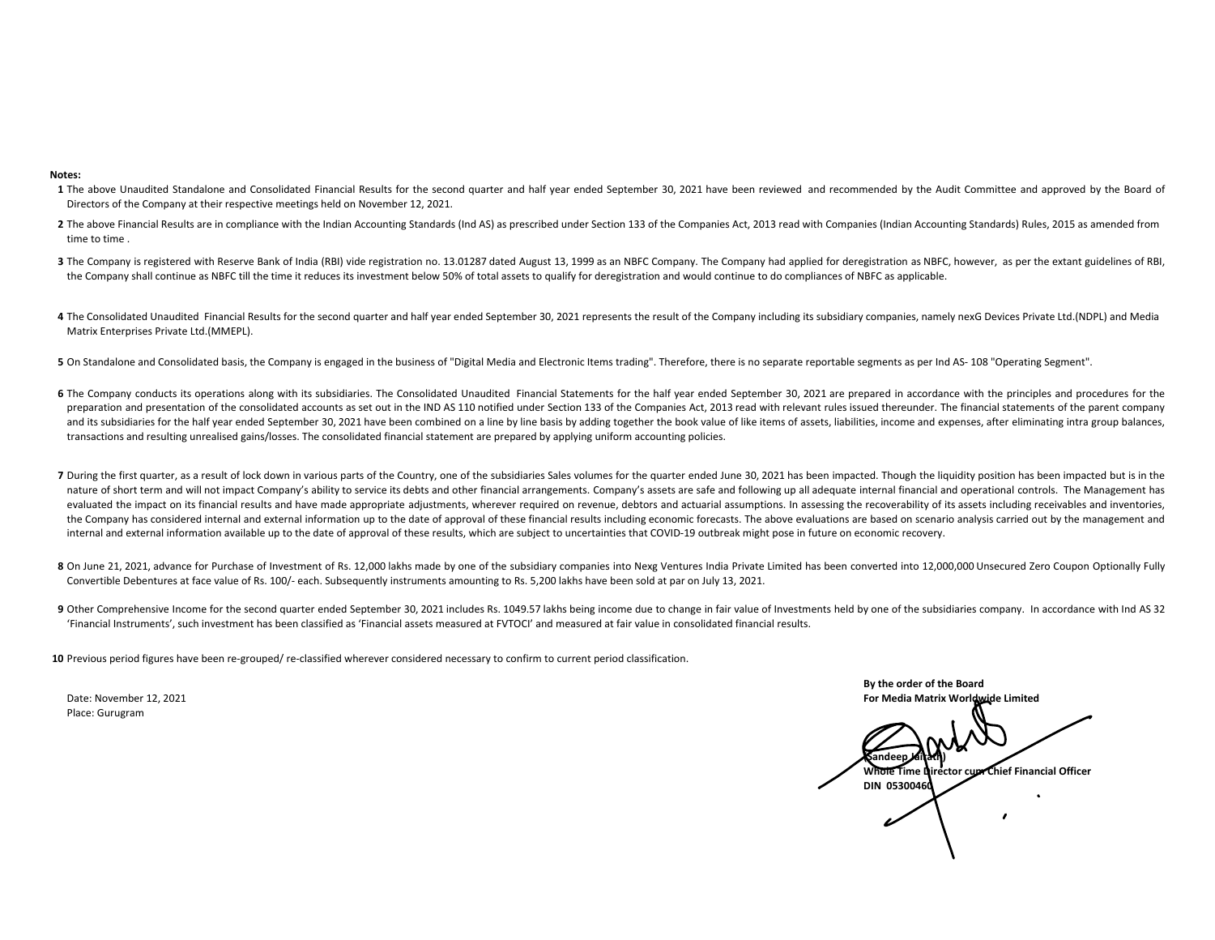## **Notes:**

- **1** The above Unaudited Standalone and Consolidated Financial Results for the second quarter and half year ended September 30, 2021 have been reviewed and recommended by the Audit Committee and approved by the Board of Directors of the Company at their respective meetings held on November 12, 2021.
- **2** The above Financial Results are in compliance with the Indian Accounting Standards (Ind AS) as prescribed under Section 133 of the Companies Act, 2013 read with Companies (Indian Accounting Standards) Rules, 2015 as am time to time .
- 3 The Company is registered with Reserve Bank of India (RBI) vide registration no. 13.01287 dated August 13, 1999 as an NBFC Company. The Company had applied for deregistration as NBFC, however, as per the extant guideline the Company shall continue as NBFC till the time it reduces its investment below 50% of total assets to qualify for deregistration and would continue to do compliances of NBFC as applicable.
- 4 The Consolidated Unaudited Financial Results for the second quarter and half year ended September 30, 2021 represents the result of the Company including its subsidiary companies, namely nexG Devices Private Ltd.(NDPL) a Matrix Enterprises Private Ltd.(MMEPL).
- 5 On Standalone and Consolidated basis, the Company is engaged in the business of "Digital Media and Electronic Items trading". Therefore, there is no separate reportable segments as per Ind AS- 108 "Operating Segment".
- 6 The Company conducts its operations along with its subsidiaries. The Consolidated Unaudited Financial Statements for the half year ended September 30, 2021 are prepared in accordance with the principles and procedures fo preparation and presentation of the consolidated accounts as set out in the IND AS 110 notified under Section 133 of the Companies Act, 2013 read with relevant rules issued thereunder. The financial statements of the paren and its subsidiaries for the half year ended September 30, 2021 have been combined on a line by line basis by adding together the book value of like items of assets, liabilities, income and expenses, after eliminating intr transactions and resulting unrealised gains/losses. The consolidated financial statement are prepared by applying uniform accounting policies.
- 7 During the first quarter, as a result of lock down in various parts of the Country, one of the subsidiaries Sales volumes for the quarter ended June 30, 2021 has been impacted. Though the liquidity position has been impa nature of short term and will not impact Company's ability to service its debts and other financial arrangements. Company's assets are safe and following up all adequate internal financial and operational controls. The Man evaluated the impact on its financial results and have made appropriate adjustments, wherever required on revenue, debtors and actuarial assumptions. In assessing the recoverability of its assets including receivables and the Company has considered internal and external information up to the date of approval of these financial results including economic forecasts. The above evaluations are based on scenario analysis carried out by the manag internal and external information available up to the date of approval of these results, which are subject to uncertainties that COVID‐19 outbreak might pose in future on economic recovery.
- 8 On June 21, 2021, advance for Purchase of Investment of Rs. 12,000 lakhs made by one of the subsidiary companies into Nexg Ventures India Private Limited has been converted into 12,000,000 Unsecured Zero Coupon Optionall Convertible Debentures at face value of Rs. 100/‐ each. Subsequently instruments amounting to Rs. 5,200 lakhs have been sold at par on July 13, 2021.
- 9 Other Comprehensive Income for the second quarter ended September 30, 2021 includes Rs. 1049.57 lakhs being income due to change in fair value of Investments held by one of the subsidiaries company. In accordance with In 'Financial Instruments', such investment has been classified as 'Financial assets measured at FVTOCI' and measured at fair value in consolidated financial results.
- **10** Previous period figures have been re‐grouped/ re‐classified wherever considered necessary to confirm to current period classification.

Date: NovemberPlace: Gurugram

 12, 2021 **For Media Matrix Worldwide Limited (Sandeep Jairath) Whole Time Director cum Chief Financial Officer DIN 05300460**

**By the order of the Board**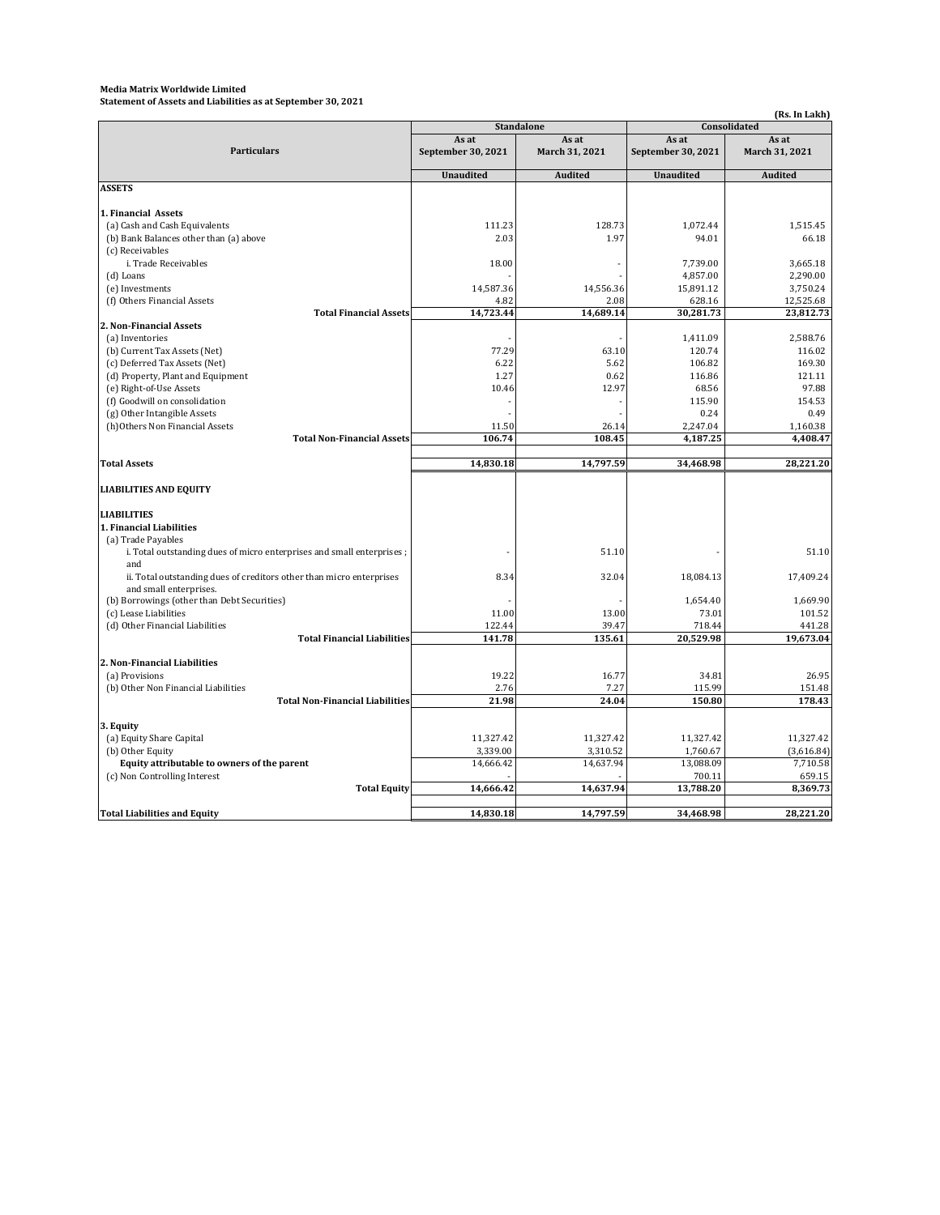## **Media Matrix Worldwide Limited**

**Statement of Assets and Liabilities as at September 30, 2021**

**(Rs. In Lakh) As at September 30, 2021 As at March 31, 2021 As at September 30, 2021 As at March 31, 2021 Unaudited Audited** *Audited Mudited Audited* **1. Financial Assets** 111.23 128.73 1,072.44 1,515.45 2.03 1.97 94.01 66.18  $\begin{array}{c|c|c|c|c} \hline 18.00 & & & & & \\ & -12.739.00 & & & & \\ \hline & 4.857.00 & & & & \\ \hline \end{array} \hspace{1cm} \begin{array}{c} 3,665.18 \\ 2,290.00 & & & \\ \hline \end{array}$  - - 4,857.00 2,290.00 14,587.36 14,556.36 15,891.12 14,556.36 15,891.12 158.36 15,891.12 158.56.36 4.82 2.08 628.16 12,525.68 Total Financial Assets 14,723.44 14,689.14 30,281.73 23,812.73  $-$  1,411.09 2,588.76 77.29 63.10 120.74 116.02 6.22 5.62 106.82 5.62 169.30  $1.27$  0.62 116.86 121.11 10.46 12.97 68.56 97.88  $-$  115.90 154.53  $-$  0.24 0.49 (h)Others Non Financial Assets<br>
Total Non-Financial Assets<br>
Total Non-Financial Assets<br>
106.74 108.45 4,187.25 4,408.47 **Total Non-Financial Assets** Total Assets 14,830.18 | 14,797.59 | 34,468.98 | 28,221.20 **LIABILITIES AND EQUITY LIABILITIES 1. Financial Liabilities** (a) Trade Payables  $-$  51.10  $-$  51.10 8.34 32.04 18,084.13 17,409.24  $-$  1,654.40  $-$  1,669.90 11.00 13.00 73.01 101.52 122.44 39.47 718.44 441.28 Total Financial Liabilities **141.78** 135.61 20,529.98 19,673.04 **2. Non‐Financial Liabilities** 19.22 16.77 34.81 26.95 2.76 7.27 115.99 151.48 Total Non-Financial Liabilities 21.98 24.04 150.80 178.43 **3. Equity** 11,327.42 11,327.42 11,327.42 11,327.42 3,339.00 3,310.52 1,760.67 (3,616.84) **Equity attributable to owners of the parent** 14,666.42 14,666.42 14,637.94 13,088.09 7,710.58 (c) Non Controlling Interest 659.15 Total Equity 14,666.42 14,637.94 13,788.20 8,369.73 Total Liabilities and Equity the same contract of the contract of the contract of the contract of the contract of the contract of the contract of the contract of the contract of the contract of the contract of the contract **Standalone Consolidated ASSETS** (a) Cash and Cash Equivalents (b) Bank Balances other than (a) above (c) Receivables **Particulars** (f) Goodwill on consolidation i. Trade Receivables (d) Loans (e) Investments (f) Others Financial Assets **2. Non‐Financial Assets** (b) Current Tax Assets (Net) (c) Deferred Tax Assets (Net) (d) Property, Plant and Equipment (e) Right-of-Use Assets (a) Inventories (b) Other Equity (g) Other Intangible Assets i. Total outstanding dues of micro enterprises and small enterprises ; and ii. Total outstanding dues of creditors other than micro enterprises and small enterprises. (b) Borrowings (other than Debt Securities) (c) Lease Liabilities (d) Other Financial Liabilities (a) Provisions (b) Other Non Financial Liabilities (a) Equity Share Capital